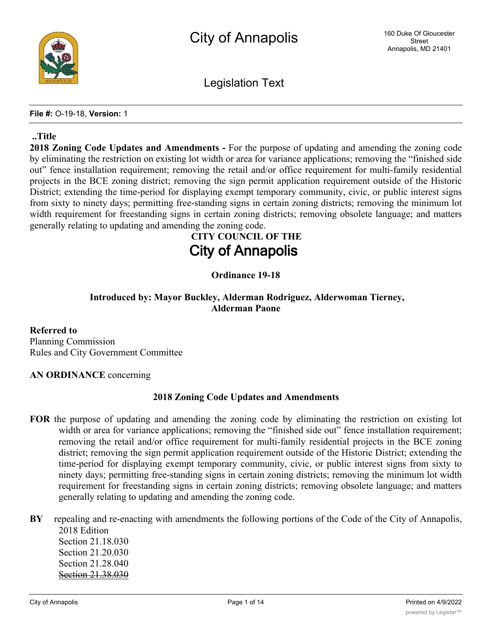

Legislation Text

**File #:** O-19-18, **Version:** 1

#### **..Title**

**2018 Zoning Code Updates and Amendments -** For the purpose of updating and amending the zoning code by eliminating the restriction on existing lot width or area for variance applications; removing the "finished side out" fence installation requirement; removing the retail and/or office requirement for multi-family residential projects in the BCE zoning district; removing the sign permit application requirement outside of the Historic District; extending the time-period for displaying exempt temporary community, civic, or public interest signs from sixty to ninety days; permitting free-standing signs in certain zoning districts; removing the minimum lot width requirement for freestanding signs in certain zoning districts; removing obsolete language; and matters generally relating to updating and amending the zoning code.

# **CITY COUNCIL OF THE City of Annapolis**

# **Ordinance 19-18**

# **Introduced by: Mayor Buckley, Alderman Rodriguez, Alderwoman Tierney, Alderman Paone**

**Referred to** Planning Commission Rules and City Government Committee

#### **AN ORDINANCE** concerning

# **2018 Zoning Code Updates and Amendments**

- **FOR** the purpose of updating and amending the zoning code by eliminating the restriction on existing lot width or area for variance applications; removing the "finished side out" fence installation requirement; removing the retail and/or office requirement for multi-family residential projects in the BCE zoning district; removing the sign permit application requirement outside of the Historic District; extending the time-period for displaying exempt temporary community, civic, or public interest signs from sixty to ninety days; permitting free-standing signs in certain zoning districts; removing the minimum lot width requirement for freestanding signs in certain zoning districts; removing obsolete language; and matters generally relating to updating and amending the zoning code.
- **BY** repealing and re-enacting with amendments the following portions of the Code of the City of Annapolis, 2018 Edition

Section 21.18.030 Section 21.20.030 Section 21.28.040 Section 21.38.030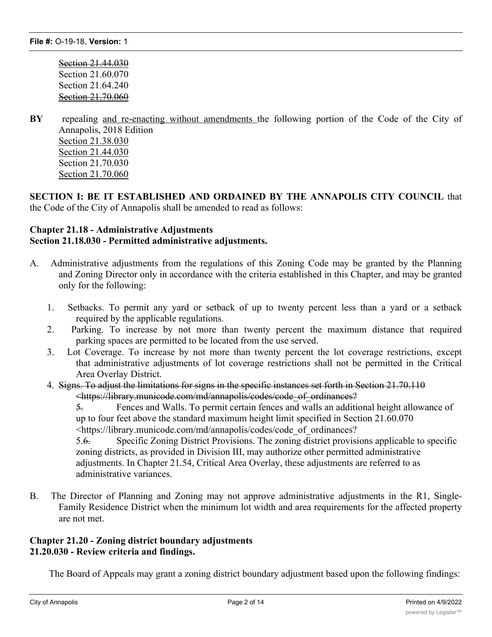Section 21.44.030 Section 21.60.070 Section 21.64.240 Section 21.70.060

**BY** repealing and re-enacting without amendments the following portion of the Code of the City of Annapolis, 2018 Edition Section 21.38.030 Section 21.44.030 Section 21.70.030 Section 21.70.060

**SECTION I: BE IT ESTABLISHED AND ORDAINED BY THE ANNAPOLIS CITY COUNCIL** that the Code of the City of Annapolis shall be amended to read as follows:

#### **Chapter 21.18 - Administrative Adjustments Section 21.18.030 - Permitted administrative adjustments.**

- A. Administrative adjustments from the regulations of this Zoning Code may be granted by the Planning and Zoning Director only in accordance with the criteria established in this Chapter, and may be granted only for the following:
	- 1. Setbacks. To permit any yard or setback of up to twenty percent less than a yard or a setback required by the applicable regulations.
	- 2. Parking. To increase by not more than twenty percent the maximum distance that required parking spaces are permitted to be located from the use served.
	- 3. Lot Coverage. To increase by not more than twenty percent the lot coverage restrictions, except that administrative adjustments of lot coverage restrictions shall not be permitted in the Critical Area Overlay District.
	- 4. Signs. To adjust the limitations for signs in the specific instances set forth in Section 21.70.110 <https://library.municode.com/md/annapolis/codes/code\_of\_ordinances?

5. Fences and Walls. To permit certain fences and walls an additional height allowance of up to four feet above the standard maximum height limit specified in Section 21.60.070 <https://library.municode.com/md/annapolis/codes/code\_of\_ordinances?

5.6. Specific Zoning District Provisions. The zoning district provisions applicable to specific zoning districts, as provided in Division III, may authorize other permitted administrative adjustments. In Chapter 21.54, Critical Area Overlay, these adjustments are referred to as administrative variances.

B. The Director of Planning and Zoning may not approve administrative adjustments in the R1, Single-Family Residence District when the minimum lot width and area requirements for the affected property are not met.

#### **Chapter 21.20 - Zoning district boundary adjustments 21.20.030 - Review criteria and findings.**

The Board of Appeals may grant a zoning district boundary adjustment based upon the following findings: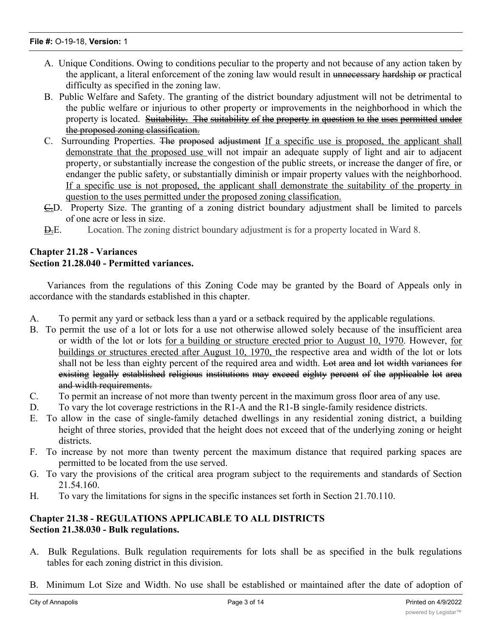#### **File #:** O-19-18, **Version:** 1

- A. Unique Conditions. Owing to conditions peculiar to the property and not because of any action taken by the applicant, a literal enforcement of the zoning law would result in unnecessary hardship or practical difficulty as specified in the zoning law.
- B. Public Welfare and Safety. The granting of the district boundary adjustment will not be detrimental to the public welfare or injurious to other property or improvements in the neighborhood in which the property is located. Suitability. The suitability of the property in question to the uses permitted under the proposed zoning classification.
- C. Surrounding Properties. The proposed adjustment If a specific use is proposed, the applicant shall demonstrate that the proposed use will not impair an adequate supply of light and air to adjacent property, or substantially increase the congestion of the public streets, or increase the danger of fire, or endanger the public safety, or substantially diminish or impair property values with the neighborhood. If a specific use is not proposed, the applicant shall demonstrate the suitability of the property in question to the uses permitted under the proposed zoning classification.
- $\overline{C}$ . Property Size. The granting of a zoning district boundary adjustment shall be limited to parcels of one acre or less in size.
- D.E. Location. The zoning district boundary adjustment is for a property located in Ward 8.

#### **Chapter 21.28 - Variances Section 21.28.040 - Permitted variances.**

Variances from the regulations of this Zoning Code may be granted by the Board of Appeals only in accordance with the standards established in this chapter.

- A. To permit any yard or setback less than a yard or a setback required by the applicable regulations.
- B. To permit the use of a lot or lots for a use not otherwise allowed solely because of the insufficient area or width of the lot or lots for a building or structure erected prior to August 10, 1970. However, for buildings or structures erected after August 10, 1970, the respective area and width of the lot or lots shall not be less than eighty percent of the required area and width. Lot area and lot width variances for existing legally established religious institutions may exceed eighty percent of the applicable lot area and width requirements.
- C. To permit an increase of not more than twenty percent in the maximum gross floor area of any use.
- D. To vary the lot coverage restrictions in the R1-A and the R1-B single-family residence districts.
- E. To allow in the case of single-family detached dwellings in any residential zoning district, a building height of three stories, provided that the height does not exceed that of the underlying zoning or height districts.
- F. To increase by not more than twenty percent the maximum distance that required parking spaces are permitted to be located from the use served.
- G. To vary the provisions of the critical area program subject to the requirements and standards of Section 21.54.160.
- H. To vary the limitations for signs in the specific instances set forth in Section 21.70.110.

# **Chapter 21.38 - REGULATIONS APPLICABLE TO ALL DISTRICTS Section 21.38.030 - Bulk regulations.**

- A. Bulk Regulations. Bulk regulation requirements for lots shall be as specified in the bulk regulations tables for each zoning district in this division.
- B. Minimum Lot Size and Width. No use shall be established or maintained after the date of adoption of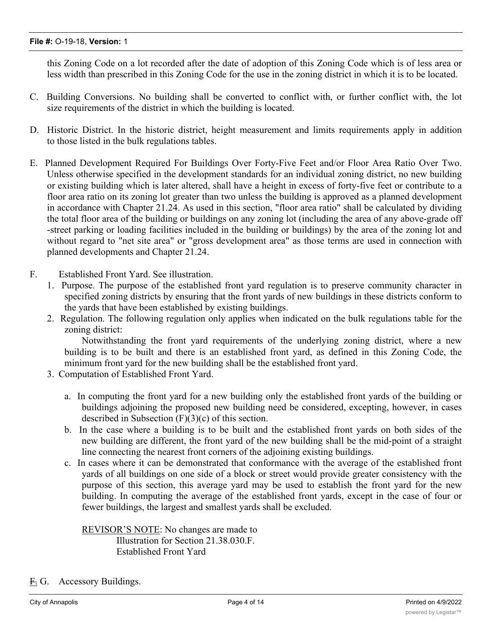#### **File #:** O-19-18, **Version:** 1

this Zoning Code on a lot recorded after the date of adoption of this Zoning Code which is of less area or less width than prescribed in this Zoning Code for the use in the zoning district in which it is to be located.

- C. Building Conversions. No building shall be converted to conflict with, or further conflict with, the lot size requirements of the district in which the building is located.
- D. Historic District. In the historic district, height measurement and limits requirements apply in addition to those listed in the bulk regulations tables.
- E. Planned Development Required For Buildings Over Forty-Five Feet and/or Floor Area Ratio Over Two. Unless otherwise specified in the development standards for an individual zoning district, no new building or existing building which is later altered, shall have a height in excess of forty-five feet or contribute to a floor area ratio on its zoning lot greater than two unless the building is approved as a planned development in accordance with Chapter 21.24. As used in this section, "floor area ratio" shall be calculated by dividing the total floor area of the building or buildings on any zoning lot (including the area of any above-grade off -street parking or loading facilities included in the building or buildings) by the area of the zoning lot and without regard to "net site area" or "gross development area" as those terms are used in connection with planned developments and Chapter 21.24.
- F. Established Front Yard. See illustration.
	- 1. Purpose. The purpose of the established front yard regulation is to preserve community character in specified zoning districts by ensuring that the front yards of new buildings in these districts conform to the yards that have been established by existing buildings.
	- 2. Regulation. The following regulation only applies when indicated on the bulk regulations table for the zoning district:

Notwithstanding the front yard requirements of the underlying zoning district, where a new building is to be built and there is an established front yard, as defined in this Zoning Code, the minimum front yard for the new building shall be the established front yard.

- 3. Computation of Established Front Yard.
	- a. In computing the front yard for a new building only the established front yards of the building or buildings adjoining the proposed new building need be considered, excepting, however, in cases described in Subsection (F)(3)(c) of this section.
	- b. In the case where a building is to be built and the established front yards on both sides of the new building are different, the front yard of the new building shall be the mid-point of a straight line connecting the nearest front corners of the adjoining existing buildings.
	- c. In cases where it can be demonstrated that conformance with the average of the established front yards of all buildings on one side of a block or street would provide greater consistency with the purpose of this section, this average yard may be used to establish the front yard for the new building. In computing the average of the established front yards, except in the case of four or fewer buildings, the largest and smallest yards shall be excluded.

REVISOR'S NOTE: No changes are made to Illustration for Section 21.38.030.F. Established Front Yard

F. G. Accessory Buildings.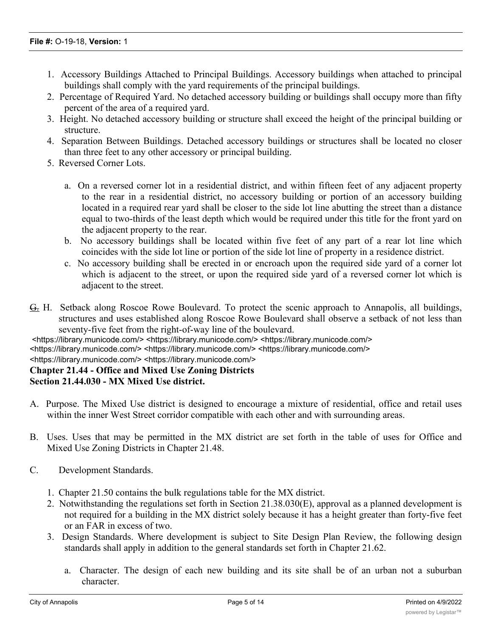- 1. Accessory Buildings Attached to Principal Buildings. Accessory buildings when attached to principal buildings shall comply with the yard requirements of the principal buildings.
- 2. Percentage of Required Yard. No detached accessory building or buildings shall occupy more than fifty percent of the area of a required yard.
- 3. Height. No detached accessory building or structure shall exceed the height of the principal building or structure.
- 4. Separation Between Buildings. Detached accessory buildings or structures shall be located no closer than three feet to any other accessory or principal building.
- 5. Reversed Corner Lots.
	- a. On a reversed corner lot in a residential district, and within fifteen feet of any adjacent property to the rear in a residential district, no accessory building or portion of an accessory building located in a required rear yard shall be closer to the side lot line abutting the street than a distance equal to two-thirds of the least depth which would be required under this title for the front yard on the adjacent property to the rear.
	- b. No accessory buildings shall be located within five feet of any part of a rear lot line which coincides with the side lot line or portion of the side lot line of property in a residence district.
	- c. No accessory building shall be erected in or encroach upon the required side yard of a corner lot which is adjacent to the street, or upon the required side yard of a reversed corner lot which is adjacent to the street.
- G. H. Setback along Roscoe Rowe Boulevard. To protect the scenic approach to Annapolis, all buildings, structures and uses established along Roscoe Rowe Boulevard shall observe a setback of not less than seventy-five feet from the right-of-way line of the boulevard.

<https://library.municode.com/> <https://library.municode.com/> <https://library.municode.com/>

<https://library.municode.com/> <https://library.municode.com/> <https://library.municode.com/>

#### <https://library.municode.com/> <https://library.municode.com/>

## **Chapter 21.44 - Office and Mixed Use Zoning Districts**

#### **Section 21.44.030 - MX Mixed Use district.**

- A. Purpose. The Mixed Use district is designed to encourage a mixture of residential, office and retail uses within the inner West Street corridor compatible with each other and with surrounding areas.
- B. Uses. Uses that may be permitted in the MX district are set forth in the table of uses for Office and Mixed Use Zoning Districts in Chapter 21.48.
- C. Development Standards.
	- 1. Chapter 21.50 contains the bulk regulations table for the MX district.
	- 2. Notwithstanding the regulations set forth in Section 21.38.030(E), approval as a planned development is not required for a building in the MX district solely because it has a height greater than forty-five feet or an FAR in excess of two.
	- 3. Design Standards. Where development is subject to Site Design Plan Review, the following design standards shall apply in addition to the general standards set forth in Chapter 21.62.
		- a. Character. The design of each new building and its site shall be of an urban not a suburban character.

 $\mathbf B$ . Building Location. Buildings shall be located close to the street with parking located to the rearration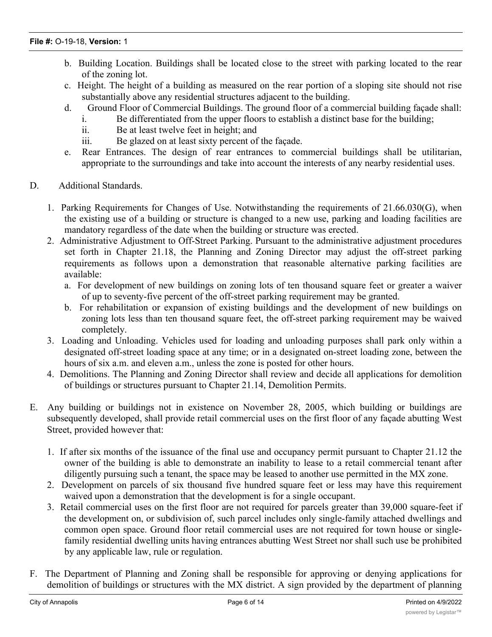- b. Building Location. Buildings shall be located close to the street with parking located to the rear of the zoning lot.
- c. Height. The height of a building as measured on the rear portion of a sloping site should not rise substantially above any residential structures adjacent to the building.
- d. Ground Floor of Commercial Buildings. The ground floor of a commercial building façade shall:
	- i. Be differentiated from the upper floors to establish a distinct base for the building;
		- ii. Be at least twelve feet in height; and
		- iii. Be glazed on at least sixty percent of the façade.
- e. Rear Entrances. The design of rear entrances to commercial buildings shall be utilitarian, appropriate to the surroundings and take into account the interests of any nearby residential uses.
- D. Additional Standards.
	- 1. Parking Requirements for Changes of Use. Notwithstanding the requirements of 21.66.030(G), when the existing use of a building or structure is changed to a new use, parking and loading facilities are mandatory regardless of the date when the building or structure was erected.
	- 2. Administrative Adjustment to Off-Street Parking. Pursuant to the administrative adjustment procedures set forth in Chapter 21.18, the Planning and Zoning Director may adjust the off-street parking requirements as follows upon a demonstration that reasonable alternative parking facilities are available:
		- a. For development of new buildings on zoning lots of ten thousand square feet or greater a waiver of up to seventy-five percent of the off-street parking requirement may be granted.
		- b. For rehabilitation or expansion of existing buildings and the development of new buildings on zoning lots less than ten thousand square feet, the off-street parking requirement may be waived completely.
	- 3. Loading and Unloading. Vehicles used for loading and unloading purposes shall park only within a designated off-street loading space at any time; or in a designated on-street loading zone, between the hours of six a.m. and eleven a.m., unless the zone is posted for other hours.
	- 4. Demolitions. The Planning and Zoning Director shall review and decide all applications for demolition of buildings or structures pursuant to Chapter 21.14, Demolition Permits.
- E. Any building or buildings not in existence on November 28, 2005, which building or buildings are subsequently developed, shall provide retail commercial uses on the first floor of any façade abutting West Street, provided however that:
	- 1. If after six months of the issuance of the final use and occupancy permit pursuant to Chapter 21.12 the owner of the building is able to demonstrate an inability to lease to a retail commercial tenant after diligently pursuing such a tenant, the space may be leased to another use permitted in the MX zone.
	- 2. Development on parcels of six thousand five hundred square feet or less may have this requirement waived upon a demonstration that the development is for a single occupant.
	- 3. Retail commercial uses on the first floor are not required for parcels greater than 39,000 square-feet if the development on, or subdivision of, such parcel includes only single-family attached dwellings and common open space. Ground floor retail commercial uses are not required for town house or singlefamily residential dwelling units having entrances abutting West Street nor shall such use be prohibited by any applicable law, rule or regulation.
- F. The Department of Planning and Zoning shall be responsible for approving or denying applications for demolition of buildings or structures with the MX district. A sign provided by the department of planning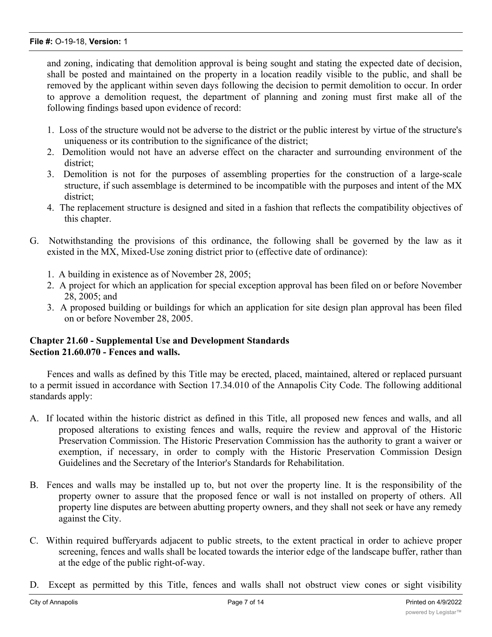and zoning, indicating that demolition approval is being sought and stating the expected date of decision, shall be posted and maintained on the property in a location readily visible to the public, and shall be removed by the applicant within seven days following the decision to permit demolition to occur. In order to approve a demolition request, the department of planning and zoning must first make all of the following findings based upon evidence of record:

- 1. Loss of the structure would not be adverse to the district or the public interest by virtue of the structure's uniqueness or its contribution to the significance of the district;
- 2. Demolition would not have an adverse effect on the character and surrounding environment of the district;
- 3. Demolition is not for the purposes of assembling properties for the construction of a large-scale structure, if such assemblage is determined to be incompatible with the purposes and intent of the MX district;
- 4. The replacement structure is designed and sited in a fashion that reflects the compatibility objectives of this chapter.
- G. Notwithstanding the provisions of this ordinance, the following shall be governed by the law as it existed in the MX, Mixed-Use zoning district prior to (effective date of ordinance):
	- 1. A building in existence as of November 28, 2005;
	- 2. A project for which an application for special exception approval has been filed on or before November 28, 2005; and
	- 3. A proposed building or buildings for which an application for site design plan approval has been filed on or before November 28, 2005.

# **Chapter 21.60 - Supplemental Use and Development Standards Section 21.60.070 - Fences and walls.**

Fences and walls as defined by this Title may be erected, placed, maintained, altered or replaced pursuant to a permit issued in accordance with Section 17.34.010 of the Annapolis City Code. The following additional standards apply:

- A. If located within the historic district as defined in this Title, all proposed new fences and walls, and all proposed alterations to existing fences and walls, require the review and approval of the Historic Preservation Commission. The Historic Preservation Commission has the authority to grant a waiver or exemption, if necessary, in order to comply with the Historic Preservation Commission Design Guidelines and the Secretary of the Interior's Standards for Rehabilitation.
- B. Fences and walls may be installed up to, but not over the property line. It is the responsibility of the property owner to assure that the proposed fence or wall is not installed on property of others. All property line disputes are between abutting property owners, and they shall not seek or have any remedy against the City.
- C. Within required bufferyards adjacent to public streets, to the extent practical in order to achieve proper screening, fences and walls shall be located towards the interior edge of the landscape buffer, rather than at the edge of the public right-of-way.
- D. Except as permitted by this Title, fences and walls shall not obstruct view cones or sight visibility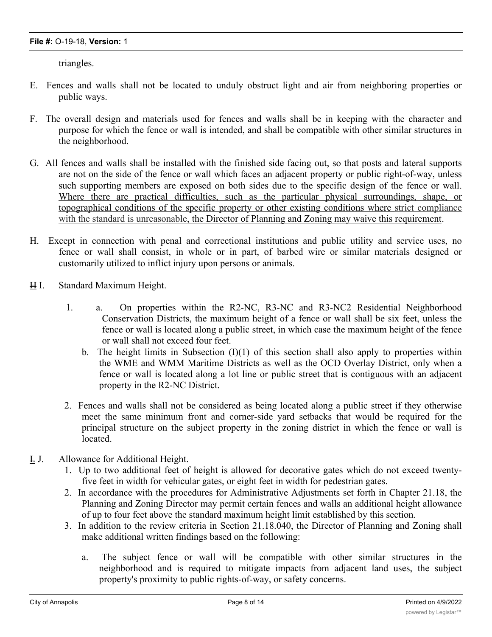triangles.

- E. Fences and walls shall not be located to unduly obstruct light and air from neighboring properties or public ways.
- F. The overall design and materials used for fences and walls shall be in keeping with the character and purpose for which the fence or wall is intended, and shall be compatible with other similar structures in the neighborhood.
- G. All fences and walls shall be installed with the finished side facing out, so that posts and lateral supports are not on the side of the fence or wall which faces an adjacent property or public right-of-way, unless such supporting members are exposed on both sides due to the specific design of the fence or wall. Where there are practical difficulties, such as the particular physical surroundings, shape, or topographical conditions of the specific property or other existing conditions where strict compliance with the standard is unreasonable, the Director of Planning and Zoning may waive this requirement.
- H. Except in connection with penal and correctional institutions and public utility and service uses, no fence or wall shall consist, in whole or in part, of barbed wire or similar materials designed or customarily utilized to inflict injury upon persons or animals.
- H I. Standard Maximum Height.
	- 1. a. On properties within the R2-NC, R3-NC and R3-NC2 Residential Neighborhood Conservation Districts, the maximum height of a fence or wall shall be six feet, unless the fence or wall is located along a public street, in which case the maximum height of the fence or wall shall not exceed four feet.
		- b. The height limits in Subsection  $(I)(1)$  of this section shall also apply to properties within the WME and WMM Maritime Districts as well as the OCD Overlay District, only when a fence or wall is located along a lot line or public street that is contiguous with an adjacent property in the R2-NC District.
	- 2. Fences and walls shall not be considered as being located along a public street if they otherwise meet the same minimum front and corner-side yard setbacks that would be required for the principal structure on the subject property in the zoning district in which the fence or wall is located.
- I. J. Allowance for Additional Height.
	- 1. Up to two additional feet of height is allowed for decorative gates which do not exceed twentyfive feet in width for vehicular gates, or eight feet in width for pedestrian gates.
	- 2. In accordance with the procedures for Administrative Adjustments set forth in Chapter 21.18, the Planning and Zoning Director may permit certain fences and walls an additional height allowance of up to four feet above the standard maximum height limit established by this section.
	- 3. In addition to the review criteria in Section 21.18.040, the Director of Planning and Zoning shall make additional written findings based on the following:
		- a. The subject fence or wall will be compatible with other similar structures in the neighborhood and is required to mitigate impacts from adjacent land uses, the subject property's proximity to public rights-of-way, or safety concerns.

b. Within the intention the intention  $\mathcal{L}_{\mathcal{A}}$  and purpose or wall fence or wall fence or wall fence or wall fence or wall fence or wall fence or wall fence or wall fence or wall fence or wall fence or wall feel fen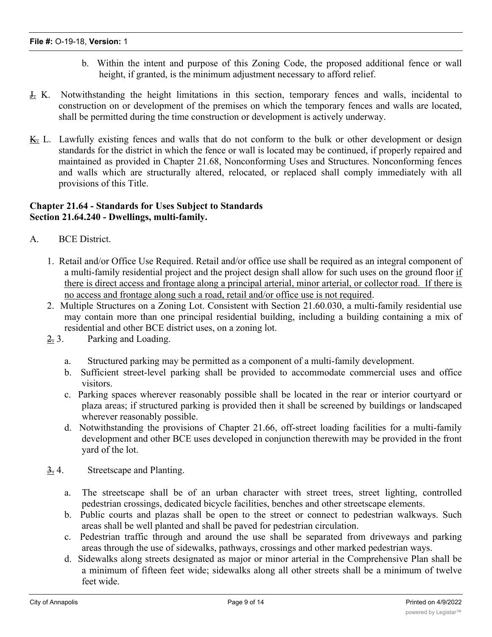- b. Within the intent and purpose of this Zoning Code, the proposed additional fence or wall height, if granted, is the minimum adjustment necessary to afford relief.
- J. K. Notwithstanding the height limitations in this section, temporary fences and walls, incidental to construction on or development of the premises on which the temporary fences and walls are located, shall be permitted during the time construction or development is actively underway.
- K. L. Lawfully existing fences and walls that do not conform to the bulk or other development or design standards for the district in which the fence or wall is located may be continued, if properly repaired and maintained as provided in Chapter 21.68, Nonconforming Uses and Structures. Nonconforming fences and walls which are structurally altered, relocated, or replaced shall comply immediately with all provisions of this Title.

# **Chapter 21.64 - Standards for Uses Subject to Standards Section 21.64.240 - Dwellings, multi-family.**

- A. BCE District.
	- 1. Retail and/or Office Use Required. Retail and/or office use shall be required as an integral component of a multi-family residential project and the project design shall allow for such uses on the ground floor if there is direct access and frontage along a principal arterial, minor arterial, or collector road. If there is no access and frontage along such a road, retail and/or office use is not required.
	- 2. Multiple Structures on a Zoning Lot. Consistent with Section 21.60.030, a multi-family residential use may contain more than one principal residential building, including a building containing a mix of residential and other BCE district uses, on a zoning lot.
	- 2. 3. Parking and Loading.
		- a. Structured parking may be permitted as a component of a multi-family development.
		- b. Sufficient street-level parking shall be provided to accommodate commercial uses and office visitors.
		- c. Parking spaces wherever reasonably possible shall be located in the rear or interior courtyard or plaza areas; if structured parking is provided then it shall be screened by buildings or landscaped wherever reasonably possible.
		- d. Notwithstanding the provisions of Chapter 21.66, off-street loading facilities for a multi-family development and other BCE uses developed in conjunction therewith may be provided in the front yard of the lot.
	- $\frac{3}{2}$ . Streetscape and Planting.
		- a. The streetscape shall be of an urban character with street trees, street lighting, controlled pedestrian crossings, dedicated bicycle facilities, benches and other streetscape elements.
		- b. Public courts and plazas shall be open to the street or connect to pedestrian walkways. Such areas shall be well planted and shall be paved for pedestrian circulation.
		- c. Pedestrian traffic through and around the use shall be separated from driveways and parking areas through the use of sidewalks, pathways, crossings and other marked pedestrian ways.
		- d. Sidewalks along streets designated as major or minor arterial in the Comprehensive Plan shall be a minimum of fifteen feet wide; sidewalks along all other streets shall be a minimum of twelve feet wide.

e. Buffer areas adjacent to public streets shall have street trees a minimum of thirty-five feet on-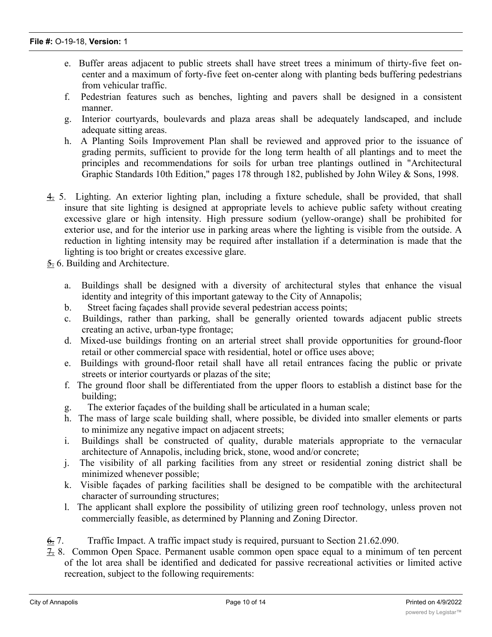- e. Buffer areas adjacent to public streets shall have street trees a minimum of thirty-five feet oncenter and a maximum of forty-five feet on-center along with planting beds buffering pedestrians from vehicular traffic.
- f. Pedestrian features such as benches, lighting and pavers shall be designed in a consistent manner.
- g. Interior courtyards, boulevards and plaza areas shall be adequately landscaped, and include adequate sitting areas.
- h. A Planting Soils Improvement Plan shall be reviewed and approved prior to the issuance of grading permits, sufficient to provide for the long term health of all plantings and to meet the principles and recommendations for soils for urban tree plantings outlined in "Architectural Graphic Standards 10th Edition," pages 178 through 182, published by John Wiley & Sons, 1998.
- 4. 5. Lighting. An exterior lighting plan, including a fixture schedule, shall be provided, that shall insure that site lighting is designed at appropriate levels to achieve public safety without creating excessive glare or high intensity. High pressure sodium (yellow-orange) shall be prohibited for exterior use, and for the interior use in parking areas where the lighting is visible from the outside. A reduction in lighting intensity may be required after installation if a determination is made that the lighting is too bright or creates excessive glare.
- $\frac{5}{26}$  6. Building and Architecture.
	- a. Buildings shall be designed with a diversity of architectural styles that enhance the visual identity and integrity of this important gateway to the City of Annapolis;
	- b. Street facing façades shall provide several pedestrian access points;
	- c. Buildings, rather than parking, shall be generally oriented towards adjacent public streets creating an active, urban-type frontage;
	- d. Mixed-use buildings fronting on an arterial street shall provide opportunities for ground-floor retail or other commercial space with residential, hotel or office uses above;
	- e. Buildings with ground-floor retail shall have all retail entrances facing the public or private streets or interior courtyards or plazas of the site;
	- f. The ground floor shall be differentiated from the upper floors to establish a distinct base for the building;
	- g. The exterior façades of the building shall be articulated in a human scale;
	- h. The mass of large scale building shall, where possible, be divided into smaller elements or parts to minimize any negative impact on adjacent streets;
	- i. Buildings shall be constructed of quality, durable materials appropriate to the vernacular architecture of Annapolis, including brick, stone, wood and/or concrete;
	- j. The visibility of all parking facilities from any street or residential zoning district shall be minimized whenever possible;
	- k. Visible façades of parking facilities shall be designed to be compatible with the architectural character of surrounding structures;
	- l. The applicant shall explore the possibility of utilizing green roof technology, unless proven not commercially feasible, as determined by Planning and Zoning Director.
- 6. 7. Traffic Impact. A traffic impact study is required, pursuant to Section 21.62.090.
- 7. 8. Common Open Space. Permanent usable common open space equal to a minimum of ten percent of the lot area shall be identified and dedicated for passive recreational activities or limited active recreation, subject to the following requirements: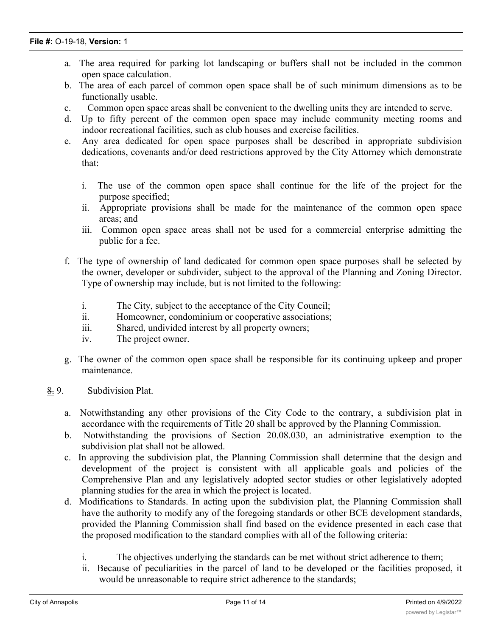- a. The area required for parking lot landscaping or buffers shall not be included in the common open space calculation.
- b. The area of each parcel of common open space shall be of such minimum dimensions as to be functionally usable.
- c. Common open space areas shall be convenient to the dwelling units they are intended to serve.
- d. Up to fifty percent of the common open space may include community meeting rooms and indoor recreational facilities, such as club houses and exercise facilities.
- e. Any area dedicated for open space purposes shall be described in appropriate subdivision dedications, covenants and/or deed restrictions approved by the City Attorney which demonstrate that:
	- i. The use of the common open space shall continue for the life of the project for the purpose specified;
	- ii. Appropriate provisions shall be made for the maintenance of the common open space areas; and
	- iii. Common open space areas shall not be used for a commercial enterprise admitting the public for a fee.
- f. The type of ownership of land dedicated for common open space purposes shall be selected by the owner, developer or subdivider, subject to the approval of the Planning and Zoning Director. Type of ownership may include, but is not limited to the following:
	- i. The City, subject to the acceptance of the City Council;
	- ii. Homeowner, condominium or cooperative associations;
	- iii. Shared, undivided interest by all property owners;
	- iv. The project owner.
- g. The owner of the common open space shall be responsible for its continuing upkeep and proper maintenance.
- 8. 9. Subdivision Plat.
	- a. Notwithstanding any other provisions of the City Code to the contrary, a subdivision plat in accordance with the requirements of Title 20 shall be approved by the Planning Commission.
	- b. Notwithstanding the provisions of Section 20.08.030, an administrative exemption to the subdivision plat shall not be allowed.
	- c. In approving the subdivision plat, the Planning Commission shall determine that the design and development of the project is consistent with all applicable goals and policies of the Comprehensive Plan and any legislatively adopted sector studies or other legislatively adopted planning studies for the area in which the project is located.
	- d. Modifications to Standards. In acting upon the subdivision plat, the Planning Commission shall have the authority to modify any of the foregoing standards or other BCE development standards, provided the Planning Commission shall find based on the evidence presented in each case that the proposed modification to the standard complies with all of the following criteria:
		- i. The objectives underlying the standards can be met without strict adherence to them;
		- ii. Because of peculiarities in the parcel of land to be developed or the facilities proposed, it would be unreasonable to require strict adherence to the standards;

iii. The modification is in the public interest and is necessary in order to further the purposes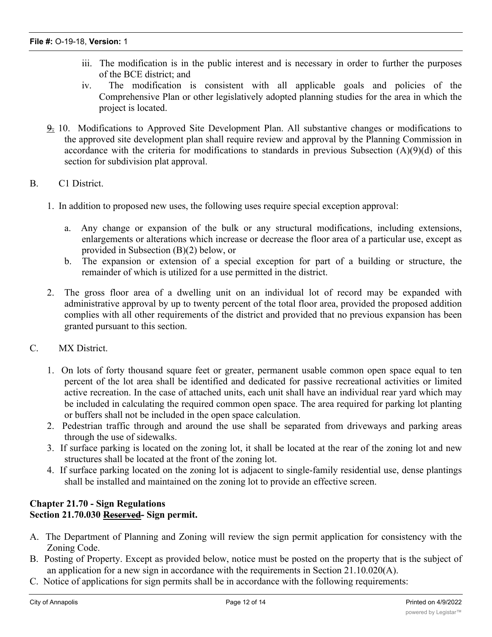- iii. The modification is in the public interest and is necessary in order to further the purposes of the BCE district; and
- iv. The modification is consistent with all applicable goals and policies of the Comprehensive Plan or other legislatively adopted planning studies for the area in which the project is located.
- 9. 10. Modifications to Approved Site Development Plan. All substantive changes or modifications to the approved site development plan shall require review and approval by the Planning Commission in accordance with the criteria for modifications to standards in previous Subsection (A)(9)(d) of this section for subdivision plat approval.

# B. C1 District.

- 1. In addition to proposed new uses, the following uses require special exception approval:
	- a. Any change or expansion of the bulk or any structural modifications, including extensions, enlargements or alterations which increase or decrease the floor area of a particular use, except as provided in Subsection (B)(2) below, or
	- b. The expansion or extension of a special exception for part of a building or structure, the remainder of which is utilized for a use permitted in the district.
- 2. The gross floor area of a dwelling unit on an individual lot of record may be expanded with administrative approval by up to twenty percent of the total floor area, provided the proposed addition complies with all other requirements of the district and provided that no previous expansion has been granted pursuant to this section.
- C. MX District.
	- 1. On lots of forty thousand square feet or greater, permanent usable common open space equal to ten percent of the lot area shall be identified and dedicated for passive recreational activities or limited active recreation. In the case of attached units, each unit shall have an individual rear yard which may be included in calculating the required common open space. The area required for parking lot planting or buffers shall not be included in the open space calculation.
	- 2. Pedestrian traffic through and around the use shall be separated from driveways and parking areas through the use of sidewalks.
	- 3. If surface parking is located on the zoning lot, it shall be located at the rear of the zoning lot and new structures shall be located at the front of the zoning lot.
	- 4. If surface parking located on the zoning lot is adjacent to single-family residential use, dense plantings shall be installed and maintained on the zoning lot to provide an effective screen.

#### **Chapter 21.70 - Sign Regulations Section 21.70.030 Reserved- Sign permit.**

- A. The Department of Planning and Zoning will review the sign permit application for consistency with the Zoning Code.
- B. Posting of Property. Except as provided below, notice must be posted on the property that is the subject of an application for a new sign in accordance with the requirements in Section 21.10.020(A).
- C. Notice of applications for sign permits shall be in accordance with the following requirements:

 $\mathbf{1}_{\mathcal{A}}$  applications located in the Historic District, the Office and  $\mathcal{A}$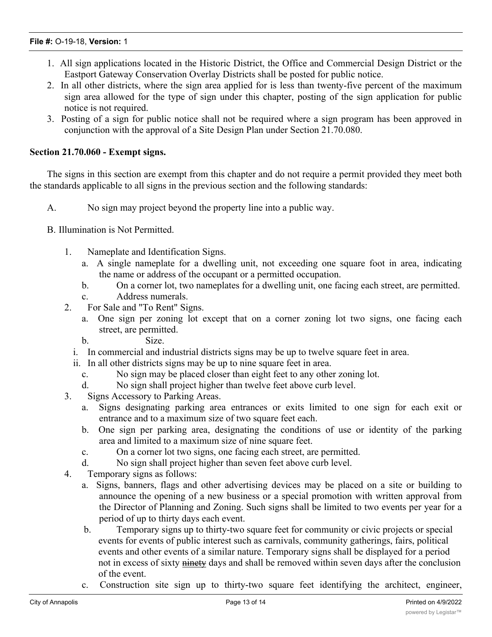#### **File #:** O-19-18, **Version:** 1

- 1. All sign applications located in the Historic District, the Office and Commercial Design District or the Eastport Gateway Conservation Overlay Districts shall be posted for public notice.
- 2. In all other districts, where the sign area applied for is less than twenty-five percent of the maximum sign area allowed for the type of sign under this chapter, posting of the sign application for public notice is not required.
- 3. Posting of a sign for public notice shall not be required where a sign program has been approved in conjunction with the approval of a Site Design Plan under Section 21.70.080.

#### **Section 21.70.060 - Exempt signs.**

The signs in this section are exempt from this chapter and do not require a permit provided they meet both the standards applicable to all signs in the previous section and the following standards:

A. No sign may project beyond the property line into a public way.

B. Illumination is Not Permitted.

- 1. Nameplate and Identification Signs.
	- a. A single nameplate for a dwelling unit, not exceeding one square foot in area, indicating the name or address of the occupant or a permitted occupation.
	- b. On a corner lot, two nameplates for a dwelling unit, one facing each street, are permitted.
	- c. Address numerals.
- 2. For Sale and "To Rent" Signs.
	- a. One sign per zoning lot except that on a corner zoning lot two signs, one facing each street, are permitted.
	- b. Size.
	- i. In commercial and industrial districts signs may be up to twelve square feet in area.
	- ii. In all other districts signs may be up to nine square feet in area.
		- c. No sign may be placed closer than eight feet to any other zoning lot.
		- d. No sign shall project higher than twelve feet above curb level.
- 3. Signs Accessory to Parking Areas.
	- a. Signs designating parking area entrances or exits limited to one sign for each exit or entrance and to a maximum size of two square feet each.
	- b. One sign per parking area, designating the conditions of use or identity of the parking area and limited to a maximum size of nine square feet.
	- c. On a corner lot two signs, one facing each street, are permitted.
	- d. No sign shall project higher than seven feet above curb level.
- 4. Temporary signs as follows:
	- a. Signs, banners, flags and other advertising devices may be placed on a site or building to announce the opening of a new business or a special promotion with written approval from the Director of Planning and Zoning. Such signs shall be limited to two events per year for a period of up to thirty days each event.
	- b. Temporary signs up to thirty-two square feet for community or civic projects or special events for events of public interest such as carnivals, community gatherings, fairs, political events and other events of a similar nature. Temporary signs shall be displayed for a period not in excess of sixty ninety days and shall be removed within seven days after the conclusion of the event.
	- c. Construction site sign up to thirty-two square feet identifying the architect, engineer,